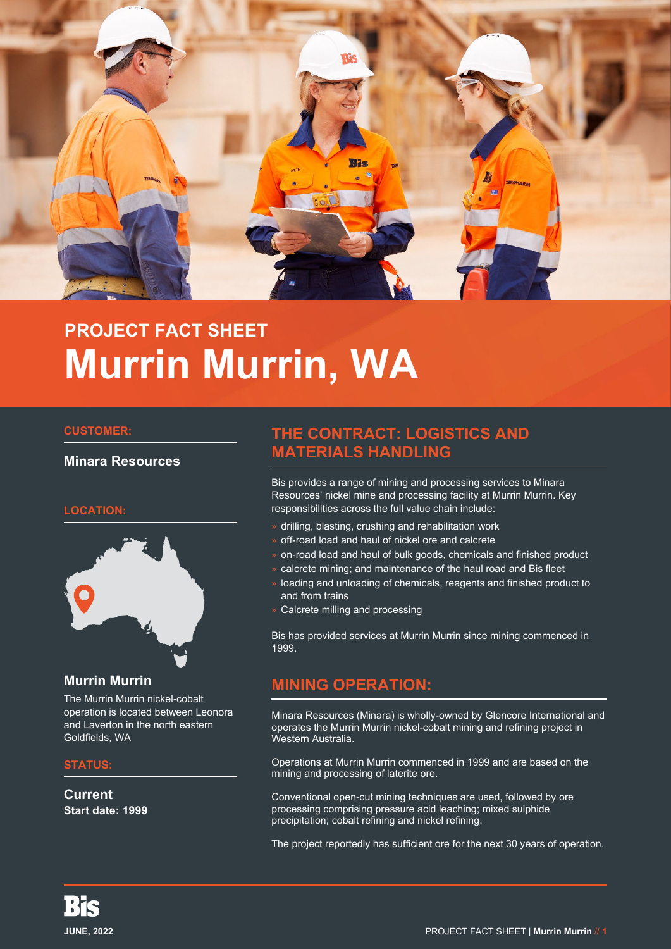

# **PROJECT FACT SHEET Murrin Murrin, WA**

#### **CUSTOMER:**

### **Minara Resources**

### **LOCATION:**



### **Murrin Murrin**

The Murrin Murrin nickel-cobalt operation is located between Leonora and Laverton in the north eastern Goldfields, WA

### **STATUS:**

**Current Start date: 1999**

# **THE CONTRACT: LOGISTICS AND MATERIALS HANDLING**

Bis provides a range of mining and processing services to Minara Resources' nickel mine and processing facility at Murrin Murrin. Key responsibilities across the full value chain include:

- » drilling, blasting, crushing and rehabilitation work
- » off-road load and haul of nickel ore and calcrete
- » on-road load and haul of bulk goods, chemicals and finished product
- » calcrete mining; and maintenance of the haul road and Bis fleet
- » loading and unloading of chemicals, reagents and finished product to and from trains
- » Calcrete milling and processing

Bis has provided services at Murrin Murrin since mining commenced in 1999.

# **MINING OPERATION:**

Minara Resources (Minara) is wholly-owned by Glencore International and operates the Murrin Murrin nickel-cobalt mining and refining project in Western Australia.

Operations at Murrin Murrin commenced in 1999 and are based on the mining and processing of laterite ore.

Conventional open-cut mining techniques are used, followed by ore processing comprising pressure acid leaching; mixed sulphide precipitation; cobalt refining and nickel refining.

The project reportedly has sufficient ore for the next 30 years of operation.